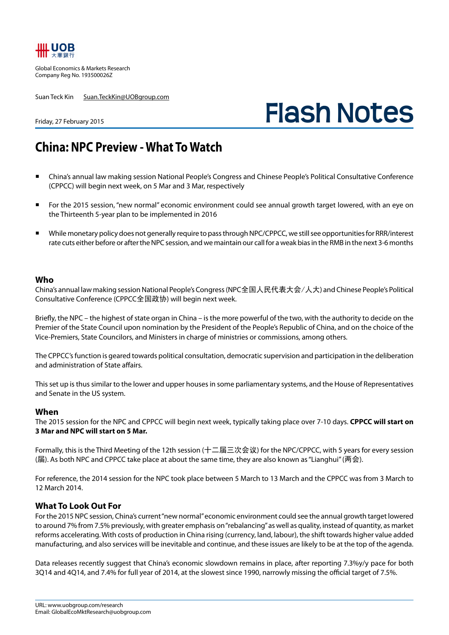

Global Economics & Markets Research Company Reg No. 193500026Z

Suan Teck Kin Suan.TeckKin@UOBgroup.com

# **Flash Notes**

#### Friday, 27 February 2015

## **China: NPC Preview - What To Watch**

- China's annual law making session National People's Congress and Chinese People's Political Consultative Conference (CPPCC) will begin next week, on 5 Mar and 3 Mar, respectively
- For the 2015 session, "new normal" economic environment could see annual growth target lowered, with an eye on the Thirteenth 5-year plan to be implemented in 2016
- While monetary policy does not generally require to pass through NPC/CPPCC, we still see opportunities for RRR/interest rate cuts either before or after the NPC session, and we maintain our call for a weak bias in the RMB in the next 3-6 months

### **Who**

China's annual law making session National People's Congress (NPC全国人民代表大会/人大) and Chinese People's Political Consultative Conference (CPPCC全国政协) will begin next week.

Briefly, the NPC – the highest of state organ in China – is the more powerful of the two, with the authority to decide on the Premier of the State Council upon nomination by the President of the People's Republic of China, and on the choice of the Vice-Premiers, State Councilors, and Ministers in charge of ministries or commissions, among others.

The CPPCC's function is geared towards political consultation, democratic supervision and participation in the deliberation and administration of State affairs.

This set up is thus similar to the lower and upper houses in some parliamentary systems, and the House of Representatives and Senate in the US system.

#### **When**

The 2015 session for the NPC and CPPCC will begin next week, typically taking place over 7-10 days. **CPPCC will start on 3 Mar and NPC will start on 5 Mar.** 

Formally, this is the Third Meeting of the 12th session (十二届三次会议) for the NPC/CPPCC, with 5 years for every session (届). As both NPC and CPPCC take place at about the same time, they are also known as "Lianghui" (两会).

For reference, the 2014 session for the NPC took place between 5 March to 13 March and the CPPCC was from 3 March to 12 March 2014.

#### **What To Look Out For**

For the 2015 NPC session, China's current "new normal" economic environment could see the annual growth target lowered to around 7% from 7.5% previously, with greater emphasis on "rebalancing" as well as quality, instead of quantity, as market reforms accelerating. With costs of production in China rising (currency, land, labour), the shift towards higher value added manufacturing, and also services will be inevitable and continue, and these issues are likely to be at the top of the agenda.

Data releases recently suggest that China's economic slowdown remains in place, after reporting 7.3%y/y pace for both 3Q14 and 4Q14, and 7.4% for full year of 2014, at the slowest since 1990, narrowly missing the official target of 7.5%.